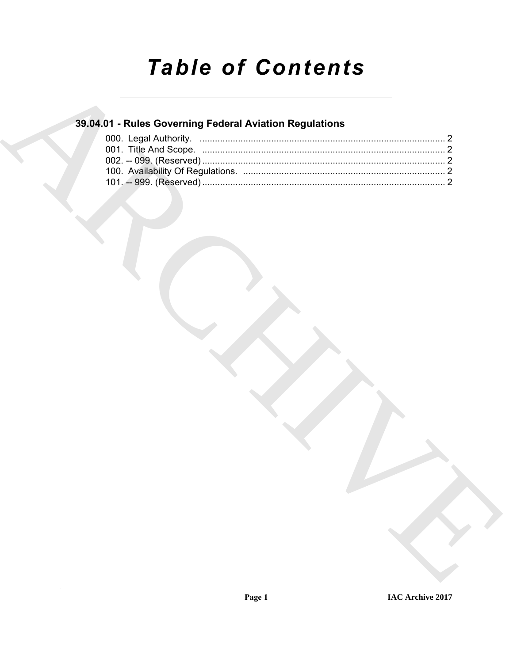# **Table of Contents**

### 39.04.01 - Rules Governing Federal Aviation Regulations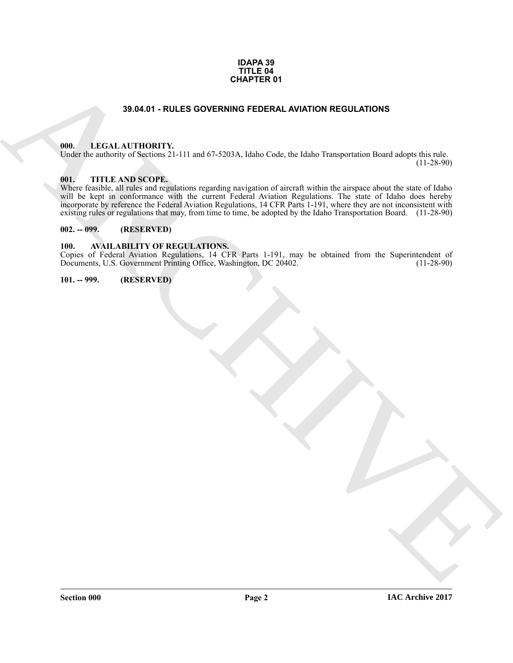#### **IDAPA 39 TITLE 04 CHAPTER 01**

#### **39.04.01 - RULES GOVERNING FEDERAL AVIATION REGULATIONS**

#### <span id="page-1-1"></span><span id="page-1-0"></span>**000. LEGAL AUTHORITY.**

Under the authority of Sections 21-111 and 67-5203A, Idaho Code, the Idaho Transportation Board adopts this rule.  $(11-28-90)$ 

#### <span id="page-1-2"></span>**001. TITLE AND SCOPE.**

**SRAAD : RULES GOVERNING FEDERAL AVATION REGULATIONS**<br>
HIVE LEGAL AUTIONATY III and 67 520 5. Italia Code, the Idalo Transportation Brand adopted to the Code of the Internet Code of the Internet Code of the Internet Code Where feasible, all rules and regulations regarding navigation of aircraft within the airspace about the state of Idaho will be kept in conformance with the current Federal Aviation Regulations. The state of Idaho does hereby incorporate by reference the Federal Aviation Regulations, 14 CFR Parts 1-191, where they are not inconsistent with existing rules or regulations that may, from time to time, be adopted by the Idaho Transportation Board. (11-28-90)

#### <span id="page-1-3"></span>**002. -- 099. (RESERVED)**

#### <span id="page-1-6"></span><span id="page-1-4"></span>**100. AVAILABILITY OF REGULATIONS.**

Copies of Federal Aviation Regulations, 14 CFR Parts 1-191, may be obtained from the Superintendent of Documents, U.S. Government Printing Office, Washington, DC 20402. (11-28-90) Documents, U.S. Government Printing Office, Washington, DC 20402.

<span id="page-1-5"></span>**101. -- 999. (RESERVED)**